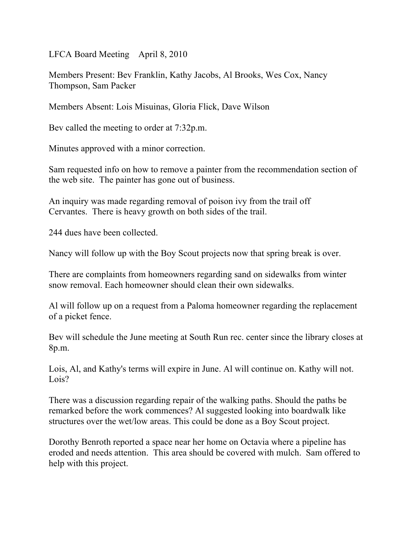LFCA Board Meeting April 8, 2010

Members Present: Bev Franklin, Kathy Jacobs, Al Brooks, Wes Cox, Nancy Thompson, Sam Packer

Members Absent: Lois Misuinas, Gloria Flick, Dave Wilson

Bev called the meeting to order at 7:32p.m.

Minutes approved with a minor correction.

Sam requested info on how to remove a painter from the recommendation section of the web site. The painter has gone out of business.

An inquiry was made regarding removal of poison ivy from the trail off Cervantes. There is heavy growth on both sides of the trail.

244 dues have been collected.

Nancy will follow up with the Boy Scout projects now that spring break is over.

There are complaints from homeowners regarding sand on sidewalks from winter snow removal. Each homeowner should clean their own sidewalks.

Al will follow up on a request from a Paloma homeowner regarding the replacement of a picket fence.

Bev will schedule the June meeting at South Run rec. center since the library closes at 8p.m.

Lois, Al, and Kathy's terms will expire in June. Al will continue on. Kathy will not. Lois?

There was a discussion regarding repair of the walking paths. Should the paths be remarked before the work commences? Al suggested looking into boardwalk like structures over the wet/low areas. This could be done as a Boy Scout project.

Dorothy Benroth reported a space near her home on Octavia where a pipeline has eroded and needs attention. This area should be covered with mulch. Sam offered to help with this project.